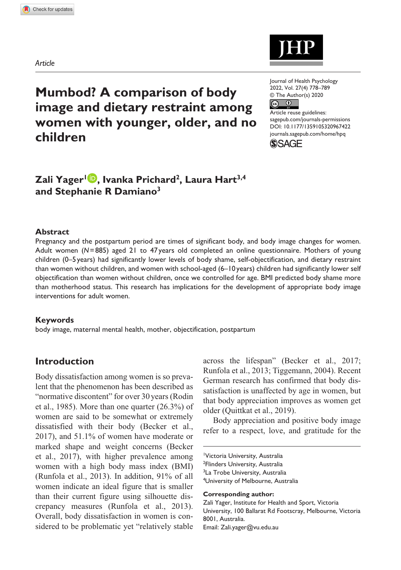*Article*



Journal of Health Psychology

2022, Vol. 27(4) 778–789 © The Author(s) 2020  $\begin{array}{cc} \hline \end{array}$ Article reuse guidelines: [sagepub.com/journals-permissions](https://uk.sagepub.com/en-gb/journals-permissions) DOI: 10.1177/1359105320967422 [journals.sagepub.com/home/hpq](https://journals.sagepub.com/home/hpq) **SSAGE** 

# **Zali Yager1 , Ivanka Prichard2, Laura Hart3,4 and Stephanie R Damiano3**

#### **Abstract**

Pregnancy and the postpartum period are times of significant body, and body image changes for women. Adult women (*N*=885) aged 21 to 47years old completed an online questionnaire. Mothers of young children (0–5 years) had significantly lower levels of body shame, self-objectification, and dietary restraint than women without children, and women with school-aged (6–10 years) children had significantly lower self objectification than women without children, once we controlled for age. BMI predicted body shame more than motherhood status. This research has implications for the development of appropriate body image interventions for adult women.

#### **Keywords**

body image, maternal mental health, mother, objectification, postpartum

### **Introduction**

Body dissatisfaction among women is so prevalent that the phenomenon has been described as "normative discontent" for over 30years (Rodin et al., 1985). More than one quarter (26.3%) of women are said to be somewhat or extremely dissatisfied with their body (Becker et al., 2017), and 51.1% of women have moderate or marked shape and weight concerns (Becker et al., 2017), with higher prevalence among women with a high body mass index (BMI) (Runfola et al., 2013). In addition, 91% of all women indicate an ideal figure that is smaller than their current figure using silhouette discrepancy measures (Runfola et al., 2013). Overall, body dissatisfaction in women is considered to be problematic yet "relatively stable across the lifespan" (Becker et al., 2017; Runfola et al., 2013; Tiggemann, 2004). Recent German research has confirmed that body dissatisfaction is unaffected by age in women, but that body appreciation improves as women get older (Quittkat et al., 2019).

Body appreciation and positive body image refer to a respect, love, and gratitude for the

1 Victoria University, Australia <sup>2</sup>Flinders University, Australia <sup>3</sup>La Trobe University, Australia 4 University of Melbourne, Australia

#### **Corresponding author:**

Zali Yager, Institute for Health and Sport, Victoria University, 100 Ballarat Rd Footscray, Melbourne, Victoria 8001, Australia. Email: [Zali.yager@vu.edu.au](mailto:Zali.yager@vu.edu.au)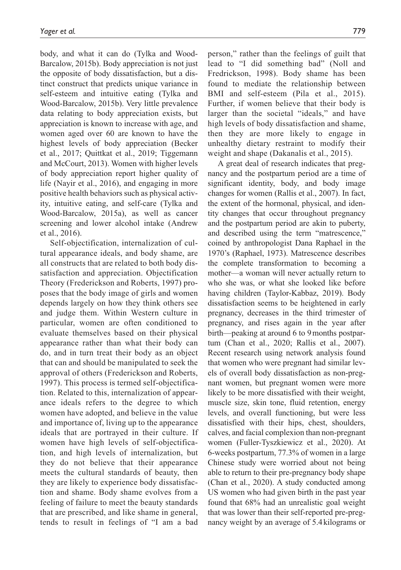body, and what it can do (Tylka and Wood-Barcalow, 2015b). Body appreciation is not just the opposite of body dissatisfaction, but a distinct construct that predicts unique variance in self-esteem and intuitive eating (Tylka and Wood-Barcalow, 2015b). Very little prevalence data relating to body appreciation exists, but appreciation is known to increase with age, and women aged over 60 are known to have the highest levels of body appreciation (Becker et al., 2017; Quittkat et al., 2019; Tiggemann and McCourt, 2013). Women with higher levels of body appreciation report higher quality of life (Nayir et al., 2016), and engaging in more positive health behaviors such as physical activity, intuitive eating, and self-care (Tylka and Wood-Barcalow, 2015a), as well as cancer screening and lower alcohol intake (Andrew et al., 2016).

Self-objectification, internalization of cultural appearance ideals, and body shame, are all constructs that are related to both body dissatisfaction and appreciation. Objectification Theory (Frederickson and Roberts, 1997) proposes that the body image of girls and women depends largely on how they think others see and judge them. Within Western culture in particular, women are often conditioned to evaluate themselves based on their physical appearance rather than what their body can do, and in turn treat their body as an object that can and should be manipulated to seek the approval of others (Frederickson and Roberts, 1997). This process is termed self-objectification. Related to this, internalization of appearance ideals refers to the degree to which women have adopted, and believe in the value and importance of, living up to the appearance ideals that are portrayed in their culture. If women have high levels of self-objectification, and high levels of internalization, but they do not believe that their appearance meets the cultural standards of beauty, then they are likely to experience body dissatisfaction and shame. Body shame evolves from a feeling of failure to meet the beauty standards that are prescribed, and like shame in general, tends to result in feelings of "I am a bad

person," rather than the feelings of guilt that lead to "I did something bad" (Noll and Fredrickson, 1998). Body shame has been found to mediate the relationship between BMI and self-esteem (Pila et al., 2015). Further, if women believe that their body is larger than the societal "ideals," and have high levels of body dissatisfaction and shame, then they are more likely to engage in unhealthy dietary restraint to modify their weight and shape (Dakanalis et al., 2015).

A great deal of research indicates that pregnancy and the postpartum period are a time of significant identity, body, and body image changes for women (Rallis et al., 2007). In fact, the extent of the hormonal, physical, and identity changes that occur throughout pregnancy and the postpartum period are akin to puberty, and described using the term "matrescence," coined by anthropologist Dana Raphael in the 1970's (Raphael, 1973). Matrescence describes the complete transformation to becoming a mother—a woman will never actually return to who she was, or what she looked like before having children (Taylor-Kabbaz, 2019). Body dissatisfaction seems to be heightened in early pregnancy, decreases in the third trimester of pregnancy, and rises again in the year after birth—peaking at around 6 to 9months postpartum (Chan et al., 2020; Rallis et al., 2007). Recent research using network analysis found that women who were pregnant had similar levels of overall body dissatisfaction as non-pregnant women, but pregnant women were more likely to be more dissatisfied with their weight, muscle size, skin tone, fluid retention, energy levels, and overall functioning, but were less dissatisfied with their hips, chest, shoulders, calves, and facial complexion than non-pregnant women (Fuller-Tyszkiewicz et al., 2020). At 6-weeks postpartum, 77.3% of women in a large Chinese study were worried about not being able to return to their pre-pregnancy body shape (Chan et al., 2020). A study conducted among US women who had given birth in the past year found that 68% had an unrealistic goal weight that was lower than their self-reported pre-pregnancy weight by an average of 5.4kilograms or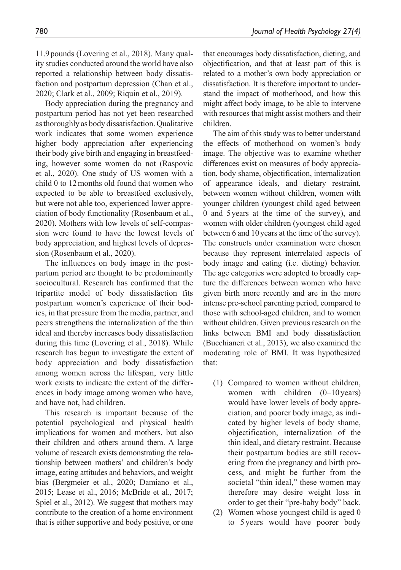11.9pounds (Lovering et al., 2018). Many quality studies conducted around the world have also reported a relationship between body dissatisfaction and postpartum depression (Chan et al., 2020; Clark et al., 2009; Riquin et al., 2019).

Body appreciation during the pregnancy and postpartum period has not yet been researched as thoroughly as body dissatisfaction. Qualitative work indicates that some women experience higher body appreciation after experiencing their body give birth and engaging in breastfeeding, however some women do not (Raspovic et al., 2020). One study of US women with a child 0 to 12months old found that women who expected to be able to breastfeed exclusively, but were not able too, experienced lower appreciation of body functionality (Rosenbaum et al., 2020). Mothers with low levels of self-compassion were found to have the lowest levels of body appreciation, and highest levels of depression (Rosenbaum et al., 2020).

The influences on body image in the postpartum period are thought to be predominantly sociocultural. Research has confirmed that the tripartite model of body dissatisfaction fits postpartum women's experience of their bodies, in that pressure from the media, partner, and peers strengthens the internalization of the thin ideal and thereby increases body dissatisfaction during this time (Lovering et al., 2018). While research has begun to investigate the extent of body appreciation and body dissatisfaction among women across the lifespan, very little work exists to indicate the extent of the differences in body image among women who have, and have not, had children.

This research is important because of the potential psychological and physical health implications for women and mothers, but also their children and others around them. A large volume of research exists demonstrating the relationship between mothers' and children's body image, eating attitudes and behaviors, and weight bias (Bergmeier et al., 2020; Damiano et al., 2015; Lease et al., 2016; McBride et al., 2017; Spiel et al., 2012). We suggest that mothers may contribute to the creation of a home environment that is either supportive and body positive, or one

that encourages body dissatisfaction, dieting, and objectification, and that at least part of this is related to a mother's own body appreciation or dissatisfaction. It is therefore important to understand the impact of motherhood, and how this might affect body image, to be able to intervene with resources that might assist mothers and their children.

The aim of this study was to better understand the effects of motherhood on women's body image. The objective was to examine whether differences exist on measures of body appreciation, body shame, objectification, internalization of appearance ideals, and dietary restraint, between women without children, women with younger children (youngest child aged between 0 and 5years at the time of the survey), and women with older children (youngest child aged between 6 and 10years at the time of the survey). The constructs under examination were chosen because they represent interrelated aspects of body image and eating (i.e. dieting) behavior. The age categories were adopted to broadly capture the differences between women who have given birth more recently and are in the more intense pre-school parenting period, compared to those with school-aged children, and to women without children. Given previous research on the links between BMI and body dissatisfaction (Bucchianeri et al., 2013), we also examined the moderating role of BMI. It was hypothesized that:

- (1) Compared to women without children, women with children (0–10years) would have lower levels of body appreciation, and poorer body image, as indicated by higher levels of body shame, objectification, internalization of the thin ideal, and dietary restraint. Because their postpartum bodies are still recovering from the pregnancy and birth process, and might be further from the societal "thin ideal," these women may therefore may desire weight loss in order to get their "pre-baby body" back.
- (2) Women whose youngest child is aged 0 to 5years would have poorer body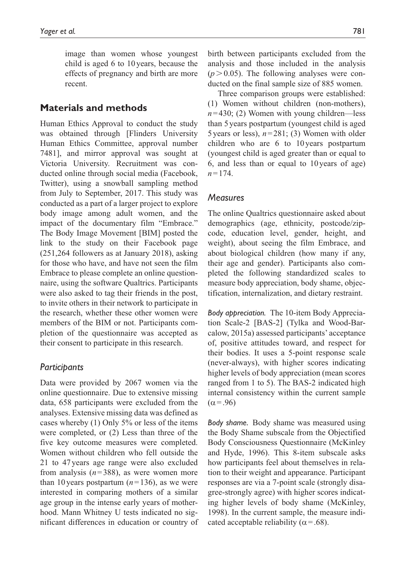image than women whose youngest child is aged 6 to 10years, because the effects of pregnancy and birth are more recent.

### **Materials and methods**

Human Ethics Approval to conduct the study was obtained through [Flinders University Human Ethics Committee, approval number 7481], and mirror approval was sought at Victoria University. Recruitment was conducted online through social media (Facebook, Twitter), using a snowball sampling method from July to September, 2017. This study was conducted as a part of a larger project to explore body image among adult women, and the impact of the documentary film "Embrace." The Body Image Movement [BIM] posted the link to the study on their Facebook page (251,264 followers as at January 2018), asking for those who have, and have not seen the film Embrace to please complete an online questionnaire, using the software Qualtrics. Participants were also asked to tag their friends in the post, to invite others in their network to participate in the research, whether these other women were members of the BIM or not. Participants completion of the questionnaire was accepted as their consent to participate in this research.

#### *Participants*

Data were provided by 2067 women via the online questionnaire. Due to extensive missing data, 658 participants were excluded from the analyses. Extensive missing data was defined as cases whereby (1) Only 5% or less of the items were completed, or (2) Less than three of the five key outcome measures were completed. Women without children who fell outside the 21 to 47 years age range were also excluded from analysis (*n*=388), as were women more than 10 years postpartum  $(n=136)$ , as we were interested in comparing mothers of a similar age group in the intense early years of motherhood. Mann Whitney U tests indicated no significant differences in education or country of birth between participants excluded from the analysis and those included in the analysis  $(p > 0.05)$ . The following analyses were conducted on the final sample size of 885 women.

Three comparison groups were established: (1) Women without children (non-mothers),  $n=430$ ; (2) Women with young children—less than 5 years postpartum (youngest child is aged 5 years or less),  $n=281$ ; (3) Women with older children who are 6 to 10years postpartum (youngest child is aged greater than or equal to 6, and less than or equal to 10years of age)  $n = 174$ .

### *Measures*

The online Qualtrics questionnaire asked about demographics (age, ethnicity, postcode/zipcode, education level, gender, height, and weight), about seeing the film Embrace, and about biological children (how many if any, their age and gender). Participants also completed the following standardized scales to measure body appreciation, body shame, objectification, internalization, and dietary restraint.

*Body appreciation.* The 10-item Body Appreciation Scale-2 [BAS-2] (Tylka and Wood-Barcalow, 2015a) assessed participants' acceptance of, positive attitudes toward, and respect for their bodies. It uses a 5-point response scale (never-always), with higher scores indicating higher levels of body appreciation (mean scores ranged from 1 to 5). The BAS-2 indicated high internal consistency within the current sample  $(\alpha = .96)$ 

*Body shame.* Body shame was measured using the Body Shame subscale from the Objectified Body Consciousness Questionnaire (McKinley and Hyde, 1996). This 8-item subscale asks how participants feel about themselves in relation to their weight and appearance. Participant responses are via a 7-point scale (strongly disagree-strongly agree) with higher scores indicating higher levels of body shame (McKinley, 1998). In the current sample, the measure indicated acceptable reliability ( $\alpha$ =.68).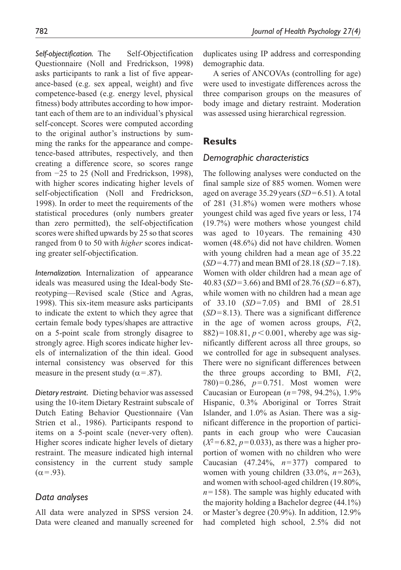*Self-objectification.* The Self-Objectification Questionnaire (Noll and Fredrickson, 1998) asks participants to rank a list of five appearance-based (e.g. sex appeal, weight) and five competence-based (e.g. energy level, physical fitness) body attributes according to how important each of them are to an individual's physical self-concept. Scores were computed according to the original author's instructions by summing the ranks for the appearance and competence-based attributes, respectively, and then creating a difference score, so scores range from −25 to 25 (Noll and Fredrickson, 1998), with higher scores indicating higher levels of self-objectification (Noll and Fredrickson, 1998). In order to meet the requirements of the statistical procedures (only numbers greater than zero permitted), the self-objectification scores were shifted upwards by 25 so that scores ranged from 0 to 50 with *higher* scores indicating greater self-objectification.

*Internalization.* Internalization of appearance ideals was measured using the Ideal-body Stereotyping—Revised scale (Stice and Agras, 1998). This six-item measure asks participants to indicate the extent to which they agree that certain female body types/shapes are attractive on a 5-point scale from strongly disagree to strongly agree. High scores indicate higher levels of internalization of the thin ideal. Good internal consistency was observed for this measure in the present study ( $\alpha$  = .87).

*Dietary restraint.* Dieting behavior was assessed using the 10-item Dietary Restraint subscale of Dutch Eating Behavior Questionnaire (Van Strien et al., 1986). Participants respond to items on a 5-point scale (never-very often). Higher scores indicate higher levels of dietary restraint. The measure indicated high internal consistency in the current study sample  $(\alpha = .93)$ .

## *Data analyses*

All data were analyzed in SPSS version 24. Data were cleaned and manually screened for duplicates using IP address and corresponding demographic data.

A series of ANCOVAs (controlling for age) were used to investigate differences across the three comparison groups on the measures of body image and dietary restraint. Moderation was assessed using hierarchical regression.

# **Results**

## *Demographic characteristics*

The following analyses were conducted on the final sample size of 885 women. Women were aged on average 35.29years (*SD*=6.51). A total of 281 (31.8%) women were mothers whose youngest child was aged five years or less, 174 (19.7%) were mothers whose youngest child was aged to 10 years. The remaining 430 women (48.6%) did not have children. Women with young children had a mean age of 35.22 (*SD*=4.77) and mean BMI of 28.18 (*SD*=7.18). Women with older children had a mean age of 40.83 (*SD*=3.66) and BMI of 28.76 (*SD*=6.87), while women with no children had a mean age of 33.10 (*SD*=7.05) and BMI of 28.51 (*SD*=8.13). There was a significant difference in the age of women across groups, *F*(2, 882)=108.81,  $p < 0.001$ , whereby age was significantly different across all three groups, so we controlled for age in subsequent analyses. There were no significant differences between the three groups according to BMI, *F*(2, 780)=0.286, *p*=0.751. Most women were Caucasian or European (*n*=798, 94.2%), 1.9% Hispanic, 0.3% Aboriginal or Torres Strait Islander, and 1.0% as Asian. There was a significant difference in the proportion of participants in each group who were Caucasian  $(X^2=6.82, p=0.033)$ , as there was a higher proportion of women with no children who were Caucasian  $(47.24\%, n=377)$  compared to women with young children (33.0%, *n*=263), and women with school-aged children (19.80%, *n*=158). The sample was highly educated with the majority holding a Bachelor degree (44.1%) or Master's degree (20.9%). In addition, 12.9% had completed high school, 2.5% did not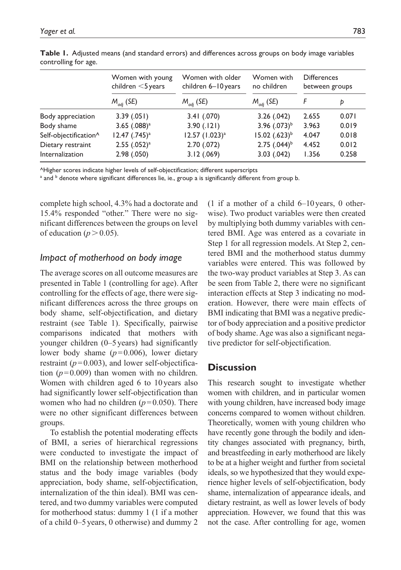|                       | Women with young<br>children $<$ 5 years | Women with older<br>children 6-10 years | Women with<br>no children | <b>Differences</b><br>between groups |       |
|-----------------------|------------------------------------------|-----------------------------------------|---------------------------|--------------------------------------|-------|
|                       | $M_{adj}$ (SE)                           | $M_{\textit{adj}}$ (SE)                 | $M_{\text{adj}}$ (SE)     | F                                    | Þ     |
| Body appreciation     | 3.39(.051)                               | 3.41(.070)                              | 3.26(.042)                | 2.655                                | 0.071 |
| Body shame            | 3.65 $(.088)^a$                          | 3.90(.121)                              | 3.96 $(.073)^{b}$         | 3.963                                | 0.019 |
| Self-objectification^ | $12.47$ $(.745)^a$                       | $12.57$ $(1.023)^a$                     | 15.02 (.623) <sup>b</sup> | 4.047                                | 0.018 |
| Dietary restraint     | $2.55$ $(.052)^a$                        | 2.70(0.072)                             | $2.75$ $(.044)^{b}$       | 4.452                                | 0.012 |
| Internalization       | 2.98(.050)                               | 3.12(.069)                              | 3.03(.042)                | 1.356                                | 0.258 |

**Table 1.** Adjusted means (and standard errors) and differences across groups on body image variables controlling for age.

^Higher scores indicate higher levels of self-objectification; different superscripts

a and <sup>b</sup> denote where significant differences lie, ie., group a is significantly different from group b.

complete high school, 4.3% had a doctorate and 15.4% responded "other." There were no significant differences between the groups on level of education ( $p > 0.05$ ).

## *Impact of motherhood on body image*

The average scores on all outcome measures are presented in Table 1 (controlling for age). After controlling for the effects of age, there were significant differences across the three groups on body shame, self-objectification, and dietary restraint (see Table 1). Specifically, pairwise comparisons indicated that mothers with younger children (0–5years) had significantly lower body shame (*p*=0.006), lower dietary restraint  $(p=0.003)$ , and lower self-objectification  $(p=0.009)$  than women with no children. Women with children aged 6 to 10years also had significantly lower self-objectification than women who had no children ( $p=0.050$ ). There were no other significant differences between groups.

To establish the potential moderating effects of BMI, a series of hierarchical regressions were conducted to investigate the impact of BMI on the relationship between motherhood status and the body image variables (body appreciation, body shame, self-objectification, internalization of the thin ideal). BMI was centered, and two dummy variables were computed for motherhood status: dummy 1 (1 if a mother of a child 0–5years, 0 otherwise) and dummy 2

 $(1 \text{ if a mother of a child } 6-10 \text{ years}, 0 \text{ other--}$ wise). Two product variables were then created by multiplying both dummy variables with centered BMI. Age was entered as a covariate in Step 1 for all regression models. At Step 2, centered BMI and the motherhood status dummy variables were entered. This was followed by the two-way product variables at Step 3. As can be seen from Table 2, there were no significant interaction effects at Step 3 indicating no moderation. However, there were main effects of BMI indicating that BMI was a negative predictor of body appreciation and a positive predictor of body shame. Age was also a significant negative predictor for self-objectification.

## **Discussion**

This research sought to investigate whether women with children, and in particular women with young children, have increased body image concerns compared to women without children. Theoretically, women with young children who have recently gone through the bodily and identity changes associated with pregnancy, birth, and breastfeeding in early motherhood are likely to be at a higher weight and further from societal ideals, so we hypothesized that they would experience higher levels of self-objectification, body shame, internalization of appearance ideals, and dietary restraint, as well as lower levels of body appreciation. However, we found that this was not the case. After controlling for age, women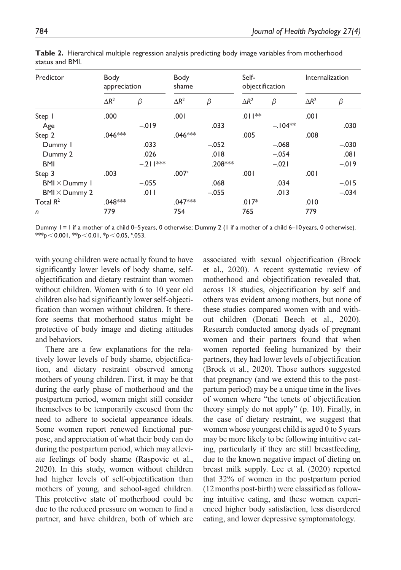| Predictor           | Body<br>appreciation |             | Body<br>shame |         | Self-<br>objectification |           | Internalization |         |
|---------------------|----------------------|-------------|---------------|---------|--------------------------|-----------|-----------------|---------|
|                     | $\Delta R^2$         | $\beta$     | $\Delta R^2$  | $\beta$ | $\Delta R^2$             | $\beta$   | $\Delta R^2$    | $\beta$ |
| Step I              | .000                 |             | .001          |         | $.011**$                 |           | .001            |         |
| Age                 |                      | $-0.019$    |               | .033    |                          | $-.104**$ |                 | .030    |
| Step 2              | $.046***$            |             | .046 ***      |         | .005                     |           | .008            |         |
| Dummy I             |                      | .033        |               | $-.052$ |                          | $-.068$   |                 | $-.030$ |
| Dummy 2             |                      | .026        |               | .018    |                          | $-.054$   |                 | .081    |
| <b>BMI</b>          |                      | $-.211$ *** |               | .208*** |                          | $-.021$   |                 | $-019$  |
| Step 3              | .003                 |             | .007a         |         | .001                     |           | .001            |         |
| $BMI \times Dummyl$ |                      | $-.055$     |               | .068    |                          | .034      |                 | $-.015$ |
| BMI × Dummy 2       |                      | .011        |               | $-.055$ |                          | .013      |                 | $-.034$ |
| Total $R^2$         | $.048***$            |             | .047***       |         | $.017*$                  |           | .010            |         |
| n                   | 779                  |             | 754           |         | 765                      |           | 779             |         |

**Table 2.** Hierarchical multiple regression analysis predicting body image variables from motherhood status and BMI.

Dummy 1=1 if a mother of a child 0–5years, 0 otherwise; Dummy 2 (1 if a mother of a child 6–10 years, 0 otherwise). \*\*\**p*<0.001, \*\**p*<0.01, \**p*<0.05, a .053.

with young children were actually found to have significantly lower levels of body shame, selfobjectification and dietary restraint than women without children. Women with 6 to 10 year old children also had significantly lower self-objectification than women without children. It therefore seems that motherhood status might be protective of body image and dieting attitudes and behaviors.

There are a few explanations for the relatively lower levels of body shame, objectification, and dietary restraint observed among mothers of young children. First, it may be that during the early phase of motherhood and the postpartum period, women might still consider themselves to be temporarily excused from the need to adhere to societal appearance ideals. Some women report renewed functional purpose, and appreciation of what their body can do during the postpartum period, which may alleviate feelings of body shame (Raspovic et al., 2020). In this study, women without children had higher levels of self-objectification than mothers of young, and school-aged children. This protective state of motherhood could be due to the reduced pressure on women to find a partner, and have children, both of which are

associated with sexual objectification (Brock et al., 2020). A recent systematic review of motherhood and objectification revealed that, across 18 studies, objectification by self and others was evident among mothers, but none of these studies compared women with and without children (Donati Beech et al., 2020). Research conducted among dyads of pregnant women and their partners found that when women reported feeling humanized by their partners, they had lower levels of objectification (Brock et al., 2020). Those authors suggested that pregnancy (and we extend this to the postpartum period) may be a unique time in the lives of women where "the tenets of objectification theory simply do not apply" (p. 10). Finally, in the case of dietary restraint, we suggest that women whose youngest child is aged 0 to 5years may be more likely to be following intuitive eating, particularly if they are still breastfeeding, due to the known negative impact of dieting on breast milk supply. Lee et al. (2020) reported that 32% of women in the postpartum period (12months post-birth) were classified as following intuitive eating, and these women experienced higher body satisfaction, less disordered eating, and lower depressive symptomatology.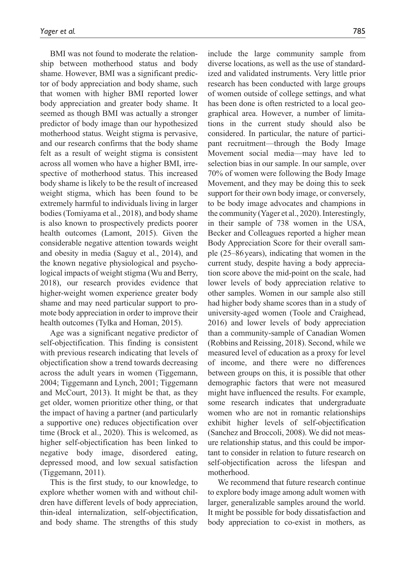BMI was not found to moderate the relationship between motherhood status and body shame. However, BMI was a significant predictor of body appreciation and body shame, such that women with higher BMI reported lower body appreciation and greater body shame. It seemed as though BMI was actually a stronger predictor of body image than our hypothesized motherhood status. Weight stigma is pervasive, and our research confirms that the body shame felt as a result of weight stigma is consistent across all women who have a higher BMI, irrespective of motherhood status. This increased body shame is likely to be the result of increased weight stigma, which has been found to be extremely harmful to individuals living in larger bodies (Tomiyama et al., 2018), and body shame is also known to prospectively predicts poorer health outcomes (Lamont, 2015). Given the considerable negative attention towards weight and obesity in media (Saguy et al., 2014), and the known negative physiological and psychological impacts of weight stigma (Wu and Berry, 2018), our research provides evidence that higher-weight women experience greater body shame and may need particular support to promote body appreciation in order to improve their health outcomes (Tylka and Homan, 2015).

Age was a significant negative predictor of self-objectification. This finding is consistent with previous research indicating that levels of objectification show a trend towards decreasing across the adult years in women (Tiggemann, 2004; Tiggemann and Lynch, 2001; Tiggemann and McCourt, 2013). It might be that, as they get older, women prioritize other thing, or that the impact of having a partner (and particularly a supportive one) reduces objectification over time (Brock et al., 2020). This is welcomed, as higher self-objectification has been linked to negative body image, disordered eating, depressed mood, and low sexual satisfaction (Tiggemann, 2011).

This is the first study, to our knowledge, to explore whether women with and without children have different levels of body appreciation, thin-ideal internalization, self-objectification, and body shame. The strengths of this study include the large community sample from diverse locations, as well as the use of standardized and validated instruments. Very little prior research has been conducted with large groups of women outside of college settings, and what has been done is often restricted to a local geographical area. However, a number of limitations in the current study should also be considered. In particular, the nature of participant recruitment—through the Body Image Movement social media—may have led to selection bias in our sample. In our sample, over 70% of women were following the Body Image Movement, and they may be doing this to seek support for their own body image, or conversely, to be body image advocates and champions in the community (Yager et al., 2020). Interestingly, in their sample of 738 women in the USA, Becker and Colleagues reported a higher mean Body Appreciation Score for their overall sample (25–86years), indicating that women in the current study, despite having a body appreciation score above the mid-point on the scale, had lower levels of body appreciation relative to other samples. Women in our sample also still had higher body shame scores than in a study of university-aged women (Toole and Craighead, 2016) and lower levels of body appreciation than a community-sample of Canadian Women (Robbins and Reissing, 2018). Second, while we measured level of education as a proxy for level of income, and there were no differences between groups on this, it is possible that other demographic factors that were not measured might have influenced the results. For example, some research indicates that undergraduate women who are not in romantic relationships exhibit higher levels of self-objectification (Sanchez and Broccoli, 2008). We did not measure relationship status, and this could be important to consider in relation to future research on self-objectification across the lifespan and motherhood.

We recommend that future research continue to explore body image among adult women with larger, generalizable samples around the world. It might be possible for body dissatisfaction and body appreciation to co-exist in mothers, as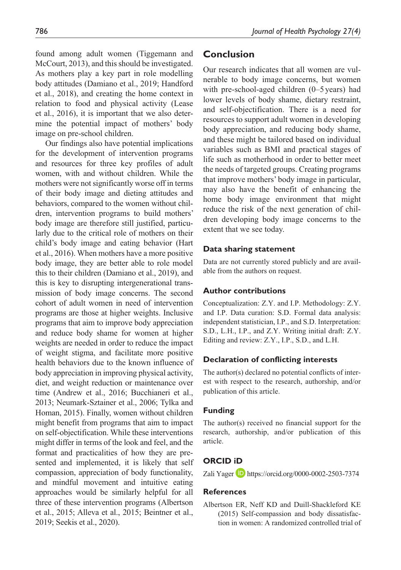found among adult women (Tiggemann and McCourt, 2013), and this should be investigated. As mothers play a key part in role modelling body attitudes (Damiano et al., 2019; Handford et al., 2018), and creating the home context in relation to food and physical activity (Lease et al., 2016), it is important that we also determine the potential impact of mothers' body image on pre-school children.

Our findings also have potential implications for the development of intervention programs and resources for three key profiles of adult women, with and without children. While the mothers were not significantly worse off in terms of their body image and dieting attitudes and behaviors, compared to the women without children, intervention programs to build mothers' body image are therefore still justified, particularly due to the critical role of mothers on their child's body image and eating behavior (Hart et al., 2016). When mothers have a more positive body image, they are better able to role model this to their children (Damiano et al., 2019), and this is key to disrupting intergenerational transmission of body image concerns. The second cohort of adult women in need of intervention programs are those at higher weights. Inclusive programs that aim to improve body appreciation and reduce body shame for women at higher weights are needed in order to reduce the impact of weight stigma, and facilitate more positive health behaviors due to the known influence of body appreciation in improving physical activity, diet, and weight reduction or maintenance over time (Andrew et al., 2016; Bucchianeri et al., 2013; Neumark-Sztainer et al., 2006; Tylka and Homan, 2015). Finally, women without children might benefit from programs that aim to impact on self-objectification. While these interventions might differ in terms of the look and feel, and the format and practicalities of how they are presented and implemented, it is likely that self compassion, appreciation of body functionality, and mindful movement and intuitive eating approaches would be similarly helpful for all three of these intervention programs (Albertson et al., 2015; Alleva et al., 2015; Beintner et al., 2019; Seekis et al., 2020).

# **Conclusion**

Our research indicates that all women are vulnerable to body image concerns, but women with pre-school-aged children (0–5 years) had lower levels of body shame, dietary restraint, and self-objectification. There is a need for resources to support adult women in developing body appreciation, and reducing body shame, and these might be tailored based on individual variables such as BMI and practical stages of life such as motherhood in order to better meet the needs of targeted groups. Creating programs that improve mothers' body image in particular, may also have the benefit of enhancing the home body image environment that might reduce the risk of the next generation of children developing body image concerns to the extent that we see today.

#### **Data sharing statement**

Data are not currently stored publicly and are available from the authors on request.

#### **Author contributions**

Conceptualization: Z.Y. and I.P. Methodology: Z.Y. and I.P. Data curation: S.D. Formal data analysis: independent statistician, I.P., and S.D. Interpretation: S.D., L.H., I.P., and Z.Y. Writing initial draft: Z.Y. Editing and review: Z.Y., I.P., S.D., and L.H.

#### **Declaration of conflicting interests**

The author(s) declared no potential conflicts of interest with respect to the research, authorship, and/or publication of this article.

#### **Funding**

The author(s) received no financial support for the research, authorship, and/or publication of this article.

# **ORCID iD**

Zali Yager **iD** <https://orcid.org/0000-0002-2503-7374>

#### **References**

Albertson ER, Neff KD and Duill-Shackleford KE (2015) Self-compassion and body dissatisfaction in women: A randomized controlled trial of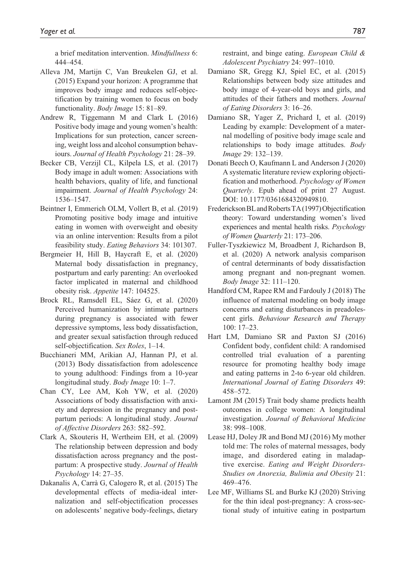a brief meditation intervention. *Mindfullness* 6: 444–454.

- Alleva JM, Martijn C, Van Breukelen GJ, et al. (2015) Expand your horizon: A programme that improves body image and reduces self-objectification by training women to focus on body functionality. *Body Image* 15: 81–89.
- Andrew R, Tiggemann M and Clark L (2016) Positive body image and young women's health: Implications for sun protection, cancer screening, weight loss and alcohol consumption behaviours. *Journal of Health Psychology* 21: 28–39.
- Becker CB, Verzijl CL, Kilpela LS, et al. (2017) Body image in adult women: Associations with health behaviors, quality of life, and functional impairment. *Journal of Health Psychology* 24: 1536–1547.
- Beintner I, Emmerich OLM, Vollert B, et al. (2019) Promoting positive body image and intuitive eating in women with overweight and obesity via an online intervention: Results from a pilot feasibility study. *Eating Behaviors* 34: 101307.
- Bergmeier H, Hill B, Haycraft E, et al. (2020) Maternal body dissatisfaction in pregnancy, postpartum and early parenting: An overlooked factor implicated in maternal and childhood obesity risk. *Appetite* 147: 104525.
- Brock RL, Ramsdell EL, Sáez G, et al. (2020) Perceived humanization by intimate partners during pregnancy is associated with fewer depressive symptoms, less body dissatisfaction, and greater sexual satisfaction through reduced self-objectification. *Sex Roles*, 1–14.
- Bucchianeri MM, Arikian AJ, Hannan PJ, et al. (2013) Body dissatisfaction from adolescence to young adulthood: Findings from a 10-year longitudinal study. *Body Image* 10: 1–7.
- Chan CY, Lee AM, Koh YW, et al. (2020) Associations of body dissatisfaction with anxiety and depression in the pregnancy and postpartum periods: A longitudinal study. *Journal of Affective Disorders* 263: 582–592.
- Clark A, Skouteris H, Wertheim EH, et al. (2009) The relationship between depression and body dissatisfaction across pregnancy and the postpartum: A prospective study. *Journal of Health Psychology* 14: 27–35.
- Dakanalis A, Carrà G, Calogero R, et al. (2015) The developmental effects of media-ideal internalization and self-objectification processes on adolescents' negative body-feelings, dietary

restraint, and binge eating. *European Child & Adolescent Psychiatry* 24: 997–1010.

- Damiano SR, Gregg KJ, Spiel EC, et al. (2015) Relationships between body size attitudes and body image of 4-year-old boys and girls, and attitudes of their fathers and mothers. *Journal of Eating Disorders* 3: 16–26.
- Damiano SR, Yager Z, Prichard I, et al. (2019) Leading by example: Development of a maternal modelling of positive body image scale and relationships to body image attitudes. *Body Image* 29: 132–139.
- Donati Beech O, Kaufmann L and Anderson J (2020) A systematic literature review exploring objectification and motherhood. *Psychology of Women Quarterly*. Epub ahead of print 27 August. DOI: 10.1177/0361684320949810.
- Frederickson BL and Roberts TA (1997) Objectification theory: Toward understanding women's lived experiences and mental health risks. *Psychology of Women Quarterly* 21: 173–206.
- Fuller-Tyszkiewicz M, Broadbent J, Richardson B, et al. (2020) A network analysis comparison of central determinants of body dissatisfaction among pregnant and non-pregnant women. *Body Image* 32: 111–120.
- Handford CM, Rapee RM and Fardouly J (2018) The influence of maternal modeling on body image concerns and eating disturbances in preadolescent girls. *Behaviour Research and Therapy* 100: 17–23.
- Hart LM, Damiano SR and Paxton SJ (2016) Confident body, confident child: A randomised controlled trial evaluation of a parenting resource for promoting healthy body image and eating patterns in 2-to 6-year old children. *International Journal of Eating Disorders* 49: 458–572.
- Lamont JM (2015) Trait body shame predicts health outcomes in college women: A longitudinal investigation. *Journal of Behavioral Medicine* 38: 998–1008.
- Lease HJ, Doley JR and Bond MJ (2016) My mother told me: The roles of maternal messages, body image, and disordered eating in maladaptive exercise. *Eating and Weight Disorders-Studies on Anorexia, Bulimia and Obesity* 21: 469–476.
- Lee MF, Williams SL and Burke KJ (2020) Striving for the thin ideal post-pregnancy: A cross-sectional study of intuitive eating in postpartum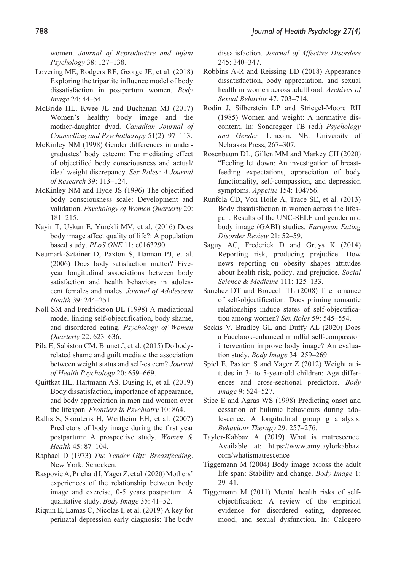women. *Journal of Reproductive and Infant Psychology* 38: 127–138.

- Lovering ME, Rodgers RF, George JE, et al. (2018) Exploring the tripartite influence model of body dissatisfaction in postpartum women. *Body Image* 24: 44–54.
- McBride HL, Kwee JL and Buchanan MJ (2017) Women's healthy body image and the mother-daughter dyad. *Canadian Journal of Counselling and Psychotherapy* 51(2): 97–113.
- McKinley NM (1998) Gender differences in undergraduates' body esteem: The mediating effect of objectified body consciousness and actual/ ideal weight discrepancy. *Sex Roles: A Journal of Research* 39: 113–124.
- McKinley NM and Hyde JS (1996) The objectified body consciousness scale: Development and validation. *Psychology of Women Quarterly* 20: 181–215.
- Nayir T, Uskun E, Yürekli MV, et al. (2016) Does body image affect quality of life?: A population based study. *PLoS ONE* 11: e0163290.
- Neumark-Sztainer D, Paxton S, Hannan PJ, et al. (2006) Does body satisfaction matter? Fiveyear longitudinal associations between body satisfaction and health behaviors in adolescent females and males. *Journal of Adolescent Health* 39: 244–251.
- Noll SM and Fredrickson BL (1998) A mediational model linking self-objectification, body shame, and disordered eating. *Psychology of Women Quarterly* 22: 623–636.
- Pila E, Sabiston CM, Brunet J, et al. (2015) Do bodyrelated shame and guilt mediate the association between weight status and self-esteem? *Journal of Health Psychology* 20: 659–669.
- Quittkat HL, Hartmann AS, Dusing R, et al. (2019) Body dissatisfaction, importance of appearance, and body appreciation in men and women over the lifespan. *Frontiers in Psychiatry* 10: 864.
- Rallis S, Skouteris H, Wertheim EH, et al. (2007) Predictors of body image during the first year postpartum: A prospective study. *Women & Health* 45: 87–104.
- Raphael D (1973) *The Tender Gift: Breastfeeding*. New York: Schocken.
- Raspovic A, Prichard I, Yager Z, et al. (2020) Mothers' experiences of the relationship between body image and exercise, 0-5 years postpartum: A qualitative study. *Body Image* 35: 41–52.
- Riquin E, Lamas C, Nicolas I, et al. (2019) A key for perinatal depression early diagnosis: The body

dissatisfaction. *Journal of Affective Disorders* 245: 340–347.

- Robbins A-R and Reissing ED (2018) Appearance dissatisfaction, body appreciation, and sexual health in women across adulthood. *Archives of Sexual Behavior* 47: 703–714.
- Rodin J, Silberstein LP and Striegel-Moore RH (1985) Women and weight: A normative discontent. In: Sondregger TB (ed.) *Psychology and Gender*. Lincoln, NE: University of Nebraska Press, 267–307.
- Rosenbaum DL, Gillen MM and Markey CH (2020) "Feeling let down: An investigation of breastfeeding expectations, appreciation of body functionality, self-compassion, and depression symptoms. *Appetite* 154: 104756.
- Runfola CD, Von Hoile A, Trace SE, et al. (2013) Body dissatisfaction in women across the lifespan: Results of the UNC-SELF and gender and body image (GABI) studies. *European Eating Disorder Review* 21: 52–59.
- Saguy AC, Frederick D and Gruys K (2014) Reporting risk, producing prejudice: How news reporting on obesity shapes attitudes about health risk, policy, and prejudice. *Social Science & Medicine* 111: 125–133.
- Sanchez DT and Broccoli TL (2008) The romance of self-objectification: Does priming romantic relationships induce states of self-objectification among women? *Sex Roles* 59: 545–554.
- Seekis V, Bradley GL and Duffy AL (2020) Does a Facebook-enhanced mindful self-compassion intervention improve body image? An evaluation study. *Body Image* 34: 259–269.
- Spiel E, Paxton S and Yager Z (2012) Weight attitudes in 3- to 5-year-old children: Age differences and cross-sectional predictors. *Body Image* 9: 524–527.
- Stice E and Agras WS (1998) Predicting onset and cessation of bulimic behaviours during adolescence: A longitudinal grouping analysis. *Behaviour Therapy* 29: 257–276.
- Taylor-Kabbaz A (2019) What is matrescence. Available at: [https://www.amytaylorkabbaz.](https://www.amytaylorkabbaz.com/whatismatrescence) [com/whatismatrescence](https://www.amytaylorkabbaz.com/whatismatrescence)
- Tiggemann M (2004) Body image across the adult life span: Stability and change. *Body Image* 1: 29–41.
- Tiggemann M (2011) Mental health risks of selfobjectification: A review of the empirical evidence for disordered eating, depressed mood, and sexual dysfunction. In: Calogero